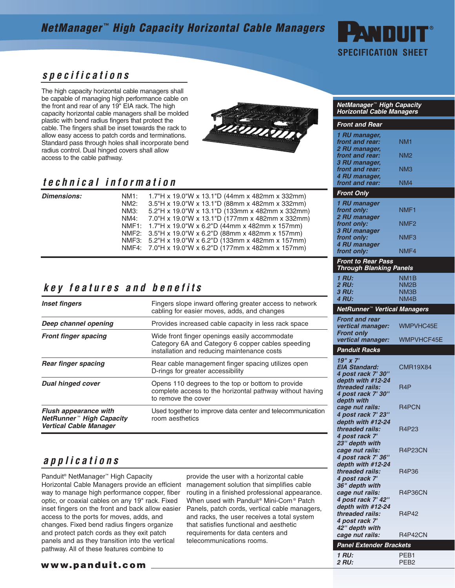## **NetManager ™ High Capacity Horizontal Cable Managers**



#### **specifications**

The high capacity horizontal cable managers shall be capable of managing high performance cable on the front and rear of any 19" EIA rack. The high capacity horizontal cable managers shall be molded plastic with bend radius fingers that protect the cable. The fingers shall be inset towards the rack to allow easy access to patch cords and terminations. Standard pass through holes shall incorporate bend radius control. Dual hinged covers shall allow access to the cable pathway.



#### **technical information**

 $Dimensions$ :

| NM <sub>1</sub> : | 1.7"H x 19.0"W x 13.1"D (44mm x 482mm x 332mm)       |
|-------------------|------------------------------------------------------|
| NM2:              | 3.5"H x 19.0"W x 13.1"D (88mm x 482mm x 332mm)       |
| NM3:              | 5.2"H x 19.0"W x 13.1"D (133mm x 482mm x 332mm)      |
| NM4:              | 7.0"H x 19.0"W x 13.1"D (177mm x 482mm x 332mm)      |
|                   | NMF1: 1.7"H x 19.0"W x 6.2"D (44mm x 482mm x 157mm)  |
|                   | NMF2: 3.5"H x 19.0"W x 6.2"D (88mm x 482mm x 157mm)  |
|                   | NMF3: 5.2"H x 19.0"W x 6.2"D (133mm x 482mm x 157mm) |
|                   | NMF4: 7.0"H x 19.0"W x 6.2"D (177mm x 482mm x 157mm) |

### **key features and benefits**

| <b>Inset fingers</b>                                                                                  | Fingers slope inward offering greater access to network<br>cabling for easier moves, adds, and changes                                            |  |  |  |  |  |
|-------------------------------------------------------------------------------------------------------|---------------------------------------------------------------------------------------------------------------------------------------------------|--|--|--|--|--|
| Deep channel opening                                                                                  | Provides increased cable capacity in less rack space                                                                                              |  |  |  |  |  |
| <b>Front finger spacing</b>                                                                           | Wide front finger openings easily accommodate<br>Category 6A and Category 6 copper cables speeding<br>installation and reducing maintenance costs |  |  |  |  |  |
| <b>Rear finger spacing</b>                                                                            | Rear cable management finger spacing utilizes open<br>D-rings for greater accessibility                                                           |  |  |  |  |  |
| <b>Dual hinged cover</b>                                                                              | Opens 110 degrees to the top or bottom to provide<br>complete access to the horizontal pathway without having<br>to remove the cover              |  |  |  |  |  |
| <b>Flush appearance with</b><br>NetRunner <sup>™</sup> High Capacity<br><b>Vertical Cable Manager</b> | Used together to improve data center and telecommunication<br>room aesthetics                                                                     |  |  |  |  |  |

#### **applications**

Panduit® NetManager™ High Capacity Horizontal Cable Managers provide an efficient way to manage high performance copper, fiber optic, or coaxial cables on any 19" rack. Fixed inset fingers on the front and back allow easier access to the ports for moves, adds, and changes. Fixed bend radius fingers organize and protect patch cords as they exit patch panels and as they transition into the vertical pathway. All of these features combine to

provide the user with a horizontal cable management solution that simplifies cable routing in a finished professional appearance. When used with Panduit® Mini-Com® Patch Panels, patch cords, vertical cable managers, and racks, the user receives a total system that satisfies functional and aesthetic requirements for data centers and telecommunications rooms.

| NetManager™ High Capacity<br><b>Horizontal Cable Managers</b> |                  |
|---------------------------------------------------------------|------------------|
| Front and Rear                                                |                  |
| 1 RU manager,<br>front and rear:                              | NM <sub>1</sub>  |
| 2 RU manager,<br>front and rear:<br>3 RU manager,             | NM2              |
| front and rear:<br>4 RU manager,                              | NM3              |
| front and rear:                                               | NM4              |
| <b>Front Only</b>                                             |                  |
| 1 RU manager<br>front only:<br>2 RU manager                   | NMF1             |
| front only:<br>3 RU manager                                   | NMF2             |
| front only:<br>4 RU manager                                   | NMF3             |
| front only:                                                   | NMF4             |
| <b>Front to Rear Pass</b><br><b>Through Blanking Panels</b>   |                  |
| 1 RU:                                                         | NM1B             |
| <b>2 RU:</b><br>3 RU:                                         | NM2B<br>NM3B     |
| <b>4 RU:</b>                                                  | NM4 <sub>B</sub> |
| NetRunner <sup>™</sup> Vertical Managers                      |                  |
| <b>Front and rear</b>                                         |                  |
| vertical manager:<br><b>Front only</b>                        | WMPVHC45E        |
| vertical manager:                                             | WMPVHCF45E       |
| <b>Panduit Racks</b>                                          |                  |
| 19'' x 7'<br><b>EIA Standard:</b><br>4 post rack 7' 30"       | CMR19X84         |
| depth with #12-24<br>threaded rails:                          | R4P              |
| 4 post rack 7' 30"<br>depth with                              |                  |
| cage nut rails:<br>4 post rack 7' 23"                         | R4PCN            |
| depth with #12-24<br>threaded rails:<br>4 post rack 7'        | R4P23            |
| 23" depth with<br>cage nut rails:                             | <b>R4P23CN</b>   |
| 4 post rack 7' 36"<br>depth with #12-24                       |                  |
| threaded rails:<br>4 post rack 7'                             | R4P36            |
| 36" depth with<br>cage nut rails:<br>4 post rack 7' 42"       | <b>R4P36CN</b>   |
| depth with #12-24<br>threaded rails:<br>4 post rack 7'        | R4P42            |
| 42" depth with<br>cage nut rails:                             | R4P42CN          |

| Panel Extender Brackets |                  |  |  |  |  |
|-------------------------|------------------|--|--|--|--|
| 1 RU:                   | PF <sub>R1</sub> |  |  |  |  |
| 2 RU:                   | PFB <sub>2</sub> |  |  |  |  |

#### **www.panduit.com**